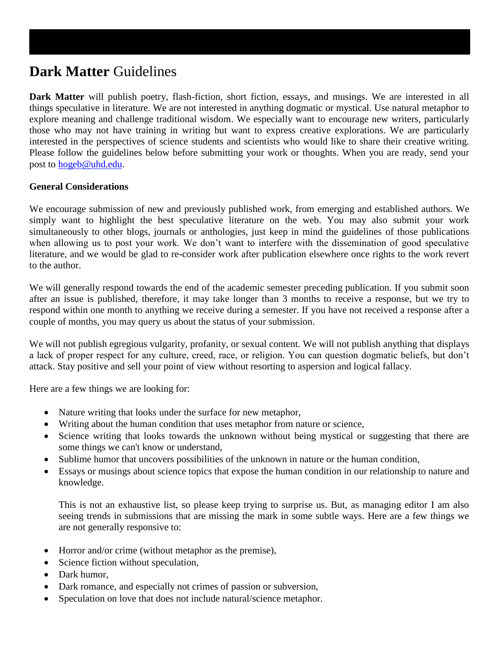# **Dark Matter** Guidelines

**Dark Matter** will publish poetry, flash-fiction, short fiction, essays, and musings. We are interested in all things speculative in literature. We are not interested in anything dogmatic or mystical. Use natural metaphor to explore meaning and challenge traditional wisdom. We especially want to encourage new writers, particularly those who may not have training in writing but want to express creative explorations. We are particularly interested in the perspectives of science students and scientists who would like to share their creative writing. Please follow the guidelines below before submitting your work or thoughts. When you are ready, send your post to **hogeb@uhd.edu**.

# **General Considerations**

We encourage submission of new and previously published work, from emerging and established authors. We simply want to highlight the best speculative literature on the web. You may also submit your work simultaneously to other blogs, journals or anthologies, just keep in mind the guidelines of those publications when allowing us to post your work. We don't want to interfere with the dissemination of good speculative literature, and we would be glad to re-consider work after publication elsewhere once rights to the work revert to the author.

We will generally respond towards the end of the academic semester preceding publication. If you submit soon after an issue is published, therefore, it may take longer than 3 months to receive a response, but we try to respond within one month to anything we receive during a semester. If you have not received a response after a couple of months, you may query us about the status of your submission.

We will not publish egregious vulgarity, profanity, or sexual content. We will not publish anything that displays a lack of proper respect for any culture, creed, race, or religion. You can question dogmatic beliefs, but don't attack. Stay positive and sell your point of view without resorting to aspersion and logical fallacy.

Here are a few things we are looking for:

- Nature writing that looks under the surface for new metaphor,
- Writing about the human condition that uses metaphor from nature or science,
- Science writing that looks towards the unknown without being mystical or suggesting that there are some things we can't know or understand,
- Sublime humor that uncovers possibilities of the unknown in nature or the human condition,
- Essays or musings about science topics that expose the human condition in our relationship to nature and knowledge.

This is not an exhaustive list, so please keep trying to surprise us. But, as managing editor I am also seeing trends in submissions that are missing the mark in some subtle ways. Here are a few things we are not generally responsive to:

- Horror and/or crime (without metaphor as the premise),
- Science fiction without speculation,
- Dark humor,
- Dark romance, and especially not crimes of passion or subversion,
- Speculation on love that does not include natural/science metaphor.